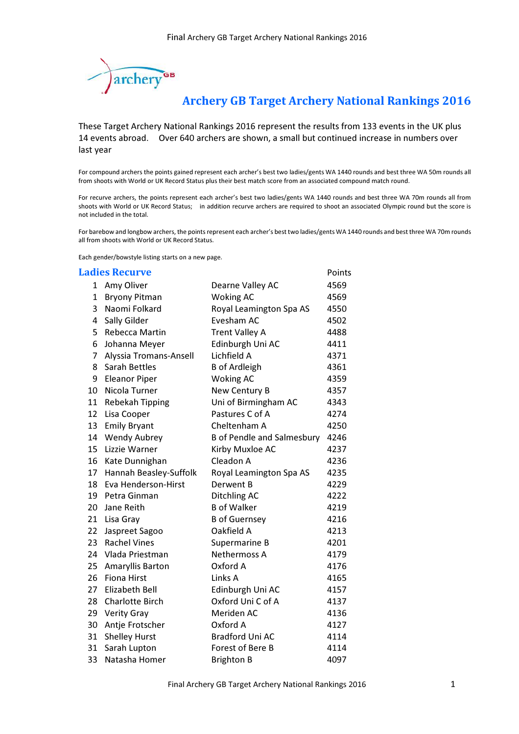

## Archery GB Target Archery National Rankings 2016

These Target Archery National Rankings 2016 represent the results from 133 events in the UK plus 14 events abroad. Over 640 archers are shown, a small but continued increase in numbers over last year

For compound archers the points gained represent each archer's best two ladies/gents WA 1440 rounds and best three WA 50m rounds all from shoots with World or UK Record Status plus their best match score from an associated compound match round.

For recurve archers, the points represent each archer's best two ladies/gents WA 1440 rounds and best three WA 70m rounds all from shoots with World or UK Record Status; in addition recurve archers are required to shoot an associated Olympic round but the score is not included in the total.

For barebow and longbow archers, the points represent each archer's best two ladies/gents WA 1440 rounds and best three WA 70m rounds all from shoots with World or UK Record Status.

Each gender/bowstyle listing starts on a new page.

## **Ladies Recurve Example 2018 Points**

| 1  | Amy Oliver              | Dearne Valley AC                  | 4569 |
|----|-------------------------|-----------------------------------|------|
| 1  | <b>Bryony Pitman</b>    | <b>Woking AC</b>                  | 4569 |
| 3  | Naomi Folkard           | Royal Leamington Spa AS           | 4550 |
| 4  | Sally Gilder            | Evesham AC                        | 4502 |
| 5  | Rebecca Martin          | <b>Trent Valley A</b>             | 4488 |
| 6  | Johanna Meyer           | Edinburgh Uni AC                  | 4411 |
| 7  | Alyssia Tromans-Ansell  | Lichfield A                       | 4371 |
| 8  | <b>Sarah Bettles</b>    | <b>B</b> of Ardleigh              | 4361 |
| 9  | <b>Eleanor Piper</b>    | <b>Woking AC</b>                  | 4359 |
| 10 | Nicola Turner           | New Century B                     | 4357 |
| 11 | <b>Rebekah Tipping</b>  | Uni of Birmingham AC              | 4343 |
| 12 | Lisa Cooper             | Pastures C of A                   | 4274 |
| 13 | <b>Emily Bryant</b>     | Cheltenham A                      | 4250 |
| 14 | <b>Wendy Aubrey</b>     | <b>B</b> of Pendle and Salmesbury | 4246 |
| 15 | Lizzie Warner           | Kirby Muxloe AC                   | 4237 |
| 16 | Kate Dunnighan          | Cleadon A                         | 4236 |
| 17 | Hannah Beasley-Suffolk  | Royal Leamington Spa AS           | 4235 |
| 18 | Eva Henderson-Hirst     | Derwent B                         | 4229 |
| 19 | Petra Ginman            | Ditchling AC                      | 4222 |
| 20 | Jane Reith              | <b>B</b> of Walker                | 4219 |
| 21 | Lisa Gray               | <b>B</b> of Guernsey              | 4216 |
| 22 | Jaspreet Sagoo          | Oakfield A                        | 4213 |
| 23 | <b>Rachel Vines</b>     | Supermarine B                     | 4201 |
| 24 | Vlada Priestman         | <b>Nethermoss A</b>               | 4179 |
| 25 | <b>Amaryllis Barton</b> | Oxford A                          | 4176 |
| 26 | <b>Fiona Hirst</b>      | Links A                           | 4165 |
| 27 | <b>Elizabeth Bell</b>   | Edinburgh Uni AC                  | 4157 |
| 28 | <b>Charlotte Birch</b>  | Oxford Uni C of A                 | 4137 |
| 29 | <b>Verity Gray</b>      | Meriden AC                        | 4136 |
| 30 | Antje Frotscher         | Oxford A                          | 4127 |
| 31 | <b>Shelley Hurst</b>    | <b>Bradford Uni AC</b>            | 4114 |
| 31 | Sarah Lupton            | Forest of Bere B                  | 4114 |
| 33 | Natasha Homer           | <b>Brighton B</b>                 | 4097 |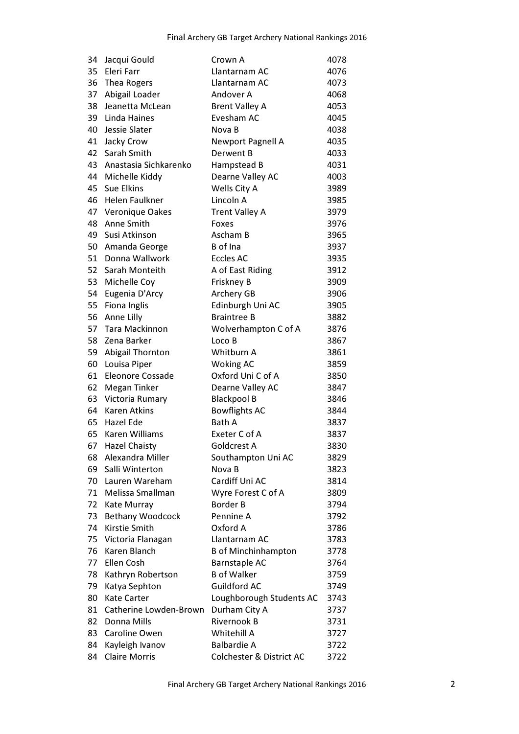| 34 | Jacqui Gould            | Crown A                             | 4078 |
|----|-------------------------|-------------------------------------|------|
| 35 | Eleri Farr              | Llantarnam AC                       | 4076 |
| 36 | Thea Rogers             | Llantarnam AC                       | 4073 |
| 37 | Abigail Loader          | Andover A                           | 4068 |
| 38 | Jeanetta McLean         | <b>Brent Valley A</b>               | 4053 |
| 39 | <b>Linda Haines</b>     | Evesham AC                          | 4045 |
| 40 | Jessie Slater           | Nova B                              | 4038 |
| 41 | Jacky Crow              | <b>Newport Pagnell A</b>            | 4035 |
| 42 | Sarah Smith             | Derwent B                           | 4033 |
| 43 | Anastasia Sichkarenko   | Hampstead B                         | 4031 |
| 44 | Michelle Kiddy          | Dearne Valley AC                    | 4003 |
| 45 | Sue Elkins              | Wells City A                        | 3989 |
| 46 | <b>Helen Faulkner</b>   | Lincoln A                           | 3985 |
| 47 | Veronique Oakes         | <b>Trent Valley A</b>               | 3979 |
| 48 | Anne Smith              | Foxes                               | 3976 |
| 49 | Susi Atkinson           | Ascham B                            | 3965 |
| 50 | Amanda George           | B of Ina                            | 3937 |
| 51 | Donna Wallwork          | <b>Eccles AC</b>                    | 3935 |
| 52 | Sarah Monteith          | A of East Riding                    | 3912 |
|    | 53 Michelle Coy         | Friskney B                          | 3909 |
| 54 | Eugenia D'Arcy          | Archery GB                          | 3906 |
| 55 | Fiona Inglis            | Edinburgh Uni AC                    | 3905 |
| 56 | Anne Lilly              | <b>Braintree B</b>                  | 3882 |
| 57 | <b>Tara Mackinnon</b>   | Wolverhampton C of A                | 3876 |
| 58 | Zena Barker             | Loco B                              | 3867 |
| 59 | Abigail Thornton        | Whitburn A                          | 3861 |
| 60 | Louisa Piper            | <b>Woking AC</b>                    | 3859 |
| 61 | Eleonore Cossade        | Oxford Uni C of A                   | 3850 |
| 62 | <b>Megan Tinker</b>     | Dearne Valley AC                    | 3847 |
| 63 | Victoria Rumary         | <b>Blackpool B</b>                  | 3846 |
| 64 | <b>Karen Atkins</b>     | <b>Bowflights AC</b>                | 3844 |
| 65 | <b>Hazel Ede</b>        | <b>Bath A</b>                       | 3837 |
| 65 | Karen Williams          | Exeter C of A                       | 3837 |
|    | 67 Hazel Chaisty        | Goldcrest A                         | 3830 |
| 68 | Alexandra Miller        | Southampton Uni AC                  | 3829 |
| 69 | Salli Winterton         | Nova B                              | 3823 |
| 70 | Lauren Wareham          | Cardiff Uni AC                      | 3814 |
| 71 | Melissa Smallman        | Wyre Forest C of A                  | 3809 |
| 72 | Kate Murray             | <b>Border B</b>                     | 3794 |
| 73 | <b>Bethany Woodcock</b> | Pennine A                           | 3792 |
| 74 | <b>Kirstie Smith</b>    | Oxford A                            | 3786 |
| 75 | Victoria Flanagan       | Llantarnam AC                       | 3783 |
| 76 | Karen Blanch            | <b>B</b> of Minchinhampton          | 3778 |
| 77 | Ellen Cosh              | <b>Barnstaple AC</b>                | 3764 |
| 78 | Kathryn Robertson       | <b>B</b> of Walker                  | 3759 |
| 79 | Katya Sephton           | <b>Guildford AC</b>                 | 3749 |
| 80 | <b>Kate Carter</b>      | Loughborough Students AC            | 3743 |
| 81 | Catherine Lowden-Brown  | Durham City A                       | 3737 |
| 82 | Donna Mills             | Rivernook B                         | 3731 |
| 83 | Caroline Owen           | Whitehill A                         | 3727 |
| 84 | Kayleigh Ivanov         | <b>Balbardie A</b>                  | 3722 |
| 84 | <b>Claire Morris</b>    | <b>Colchester &amp; District AC</b> | 3722 |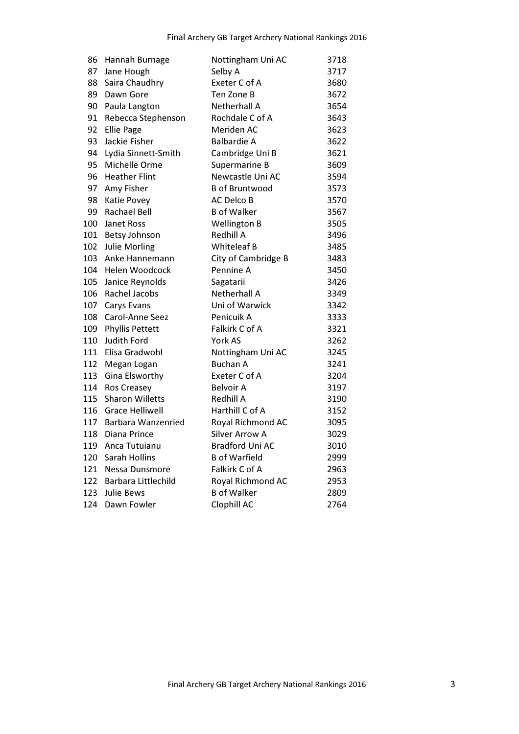| 86  | Hannah Burnage         | Nottingham Uni AC      | 3718 |
|-----|------------------------|------------------------|------|
| 87  | Jane Hough             | Selby A                | 3717 |
| 88  | Saira Chaudhry         | Exeter C of A          | 3680 |
| 89  | Dawn Gore              | Ten Zone B             | 3672 |
| 90  | Paula Langton          | Netherhall A           | 3654 |
| 91  | Rebecca Stephenson     | Rochdale C of A        | 3643 |
| 92  | <b>Ellie Page</b>      | Meriden AC             | 3623 |
| 93  | Jackie Fisher          | <b>Balbardie A</b>     | 3622 |
| 94  | Lydia Sinnett-Smith    | Cambridge Uni B        | 3621 |
| 95  | Michelle Orme          | Supermarine B          | 3609 |
| 96  | <b>Heather Flint</b>   | Newcastle Uni AC       | 3594 |
| 97  | Amy Fisher             | <b>B</b> of Bruntwood  | 3573 |
| 98  | Katie Povey            | <b>AC Delco B</b>      | 3570 |
| 99  | <b>Rachael Bell</b>    | <b>B</b> of Walker     | 3567 |
| 100 | Janet Ross             | <b>Wellington B</b>    | 3505 |
| 101 | <b>Betsy Johnson</b>   | <b>Redhill A</b>       | 3496 |
| 102 | <b>Julie Morling</b>   | <b>Whiteleaf B</b>     | 3485 |
| 103 | Anke Hannemann         | City of Cambridge B    | 3483 |
| 104 | Helen Woodcock         | Pennine A              | 3450 |
| 105 | Janice Reynolds        | Sagatarii              | 3426 |
| 106 | Rachel Jacobs          | Netherhall A           | 3349 |
| 107 | <b>Carys Evans</b>     | Uni of Warwick         | 3342 |
| 108 | Carol-Anne Seez        | Penicuik A             | 3333 |
| 109 | <b>Phyllis Pettett</b> | Falkirk C of A         | 3321 |
| 110 | Judith Ford            | York AS                | 3262 |
| 111 | Elisa Gradwohl         | Nottingham Uni AC      | 3245 |
| 112 | Megan Logan            | <b>Buchan A</b>        | 3241 |
| 113 | Gina Elsworthy         | Exeter C of A          | 3204 |
| 114 | Ros Creasey            | <b>Belvoir A</b>       | 3197 |
| 115 | <b>Sharon Willetts</b> | <b>Redhill A</b>       | 3190 |
| 116 | <b>Grace Helliwell</b> | Harthill C of A        | 3152 |
| 117 | Barbara Wanzenried     | Royal Richmond AC      | 3095 |
| 118 | Diana Prince           | <b>Silver Arrow A</b>  | 3029 |
| 119 | Anca Tutuianu          | <b>Bradford Uni AC</b> | 3010 |
| 120 | Sarah Hollins          | <b>B</b> of Warfield   | 2999 |
| 121 | Nessa Dunsmore         | Falkirk C of A         | 2963 |
| 122 | Barbara Littlechild    | Royal Richmond AC      | 2953 |
| 123 | Julie Bews             | <b>B</b> of Walker     | 2809 |
| 124 | Dawn Fowler            | Clophill AC            | 2764 |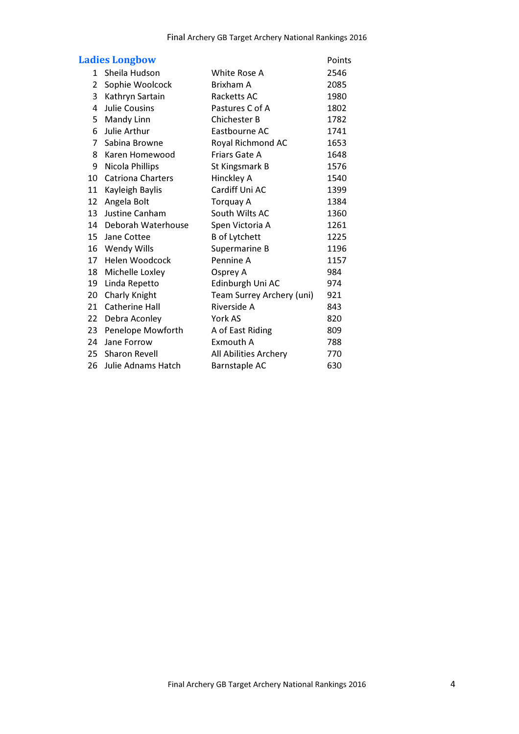|                | <b>Ladies Longbow</b>    |                           | Points |
|----------------|--------------------------|---------------------------|--------|
| 1              | Sheila Hudson            | White Rose A              | 2546   |
| 2              | Sophie Woolcock          | Brixham A                 | 2085   |
| 3              | Kathryn Sartain          | Racketts AC               | 1980   |
| 4              | <b>Julie Cousins</b>     | Pastures C of A           | 1802   |
| 5              | Mandy Linn               | <b>Chichester B</b>       | 1782   |
| 6              | Julie Arthur             | Eastbourne AC             | 1741   |
| $\overline{7}$ | Sabina Browne            | Royal Richmond AC         | 1653   |
| 8              | Karen Homewood           | Friars Gate A             | 1648   |
| 9              | Nicola Phillips          | St Kingsmark B            | 1576   |
| 10             | <b>Catriona Charters</b> | Hinckley A                | 1540   |
| 11             | Kayleigh Baylis          | Cardiff Uni AC            | 1399   |
| 12             | Angela Bolt              | Torquay A                 | 1384   |
| 13             | Justine Canham           | South Wilts AC            | 1360   |
| 14             | Deborah Waterhouse       | Spen Victoria A           | 1261   |
| 15             | Jane Cottee              | <b>B</b> of Lytchett      | 1225   |
| 16             | <b>Wendy Wills</b>       | Supermarine B             | 1196   |
| 17             | Helen Woodcock           | Pennine A                 | 1157   |
| 18             | Michelle Loxley          | Osprey A                  | 984    |
| 19             | Linda Repetto            | Edinburgh Uni AC          | 974    |
| 20             | Charly Knight            | Team Surrey Archery (uni) | 921    |
| 21             | <b>Catherine Hall</b>    | Riverside A               | 843    |
| 22             | Debra Aconley            | York AS                   | 820    |
| 23             | Penelope Mowforth        | A of East Riding          | 809    |
| 24             | Jane Forrow              | Exmouth A                 | 788    |
| 25             | <b>Sharon Revell</b>     | All Abilities Archery     | 770    |
| 26             | Julie Adnams Hatch       | <b>Barnstaple AC</b>      | 630    |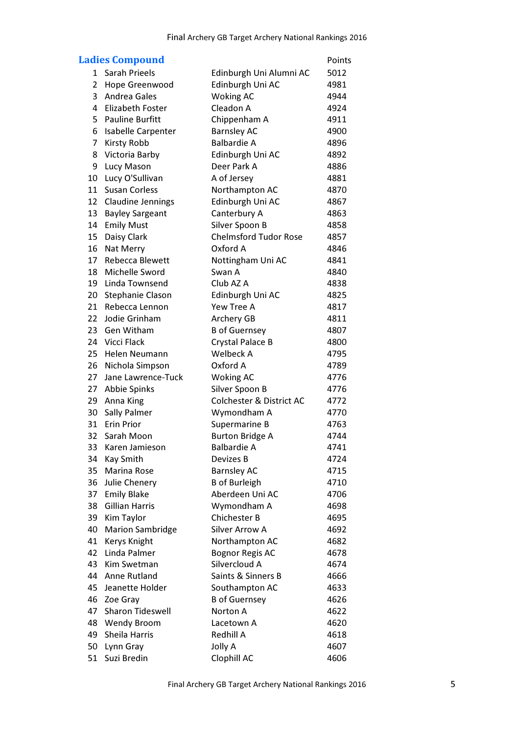|                | <b>Ladies Compound</b>   |                                     | Points |
|----------------|--------------------------|-------------------------------------|--------|
| $\mathbf{1}$   | <b>Sarah Prieels</b>     | Edinburgh Uni Alumni AC             | 5012   |
| $\overline{2}$ | <b>Hope Greenwood</b>    | Edinburgh Uni AC                    | 4981   |
| 3              | <b>Andrea Gales</b>      | <b>Woking AC</b>                    | 4944   |
| 4              | Elizabeth Foster         | Cleadon A                           | 4924   |
| 5              | <b>Pauline Burfitt</b>   | Chippenham A                        | 4911   |
| 6              | Isabelle Carpenter       | <b>Barnsley AC</b>                  | 4900   |
| 7              | <b>Kirsty Robb</b>       | <b>Balbardie A</b>                  | 4896   |
| 8              | Victoria Barby           | Edinburgh Uni AC                    | 4892   |
| 9              | Lucy Mason               | Deer Park A                         | 4886   |
| 10             | Lucy O'Sullivan          | A of Jersey                         | 4881   |
| 11             | <b>Susan Corless</b>     | Northampton AC                      | 4870   |
| 12             | <b>Claudine Jennings</b> | Edinburgh Uni AC                    | 4867   |
| 13             | <b>Bayley Sargeant</b>   | Canterbury A                        | 4863   |
| 14             | <b>Emily Must</b>        | Silver Spoon B                      | 4858   |
| 15             | Daisy Clark              | <b>Chelmsford Tudor Rose</b>        | 4857   |
| 16             | Nat Merry                | Oxford A                            | 4846   |
| 17             | <b>Rebecca Blewett</b>   | Nottingham Uni AC                   | 4841   |
| 18             | Michelle Sword           | Swan A                              | 4840   |
| 19             | Linda Townsend           | Club AZ A                           | 4838   |
| 20             | Stephanie Clason         | Edinburgh Uni AC                    | 4825   |
| 21             | Rebecca Lennon           | Yew Tree A                          | 4817   |
| 22             | Jodie Grinham            | Archery GB                          | 4811   |
| 23             | Gen Witham               | <b>B</b> of Guernsey                | 4807   |
| 24             | Vicci Flack              | <b>Crystal Palace B</b>             | 4800   |
| 25             | <b>Helen Neumann</b>     | <b>Welbeck A</b>                    | 4795   |
| 26             | Nichola Simpson          | Oxford A                            | 4789   |
| 27             | Jane Lawrence-Tuck       | <b>Woking AC</b>                    | 4776   |
| 27             | Abbie Spinks             | Silver Spoon B                      | 4776   |
| 29             | Anna King                | <b>Colchester &amp; District AC</b> | 4772   |
| 30             | <b>Sally Palmer</b>      | Wymondham A                         | 4770   |
| 31             | <b>Erin Prior</b>        | Supermarine B                       | 4763   |
| 32             | Sarah Moon               | <b>Burton Bridge A</b>              | 4744   |
| 33             | Karen Jamieson           | <b>Balbardie A</b>                  | 4741   |
| 34             | <b>Kay Smith</b>         | Devizes B                           | 4724   |
| 35             | <b>Marina Rose</b>       | <b>Barnsley AC</b>                  | 4715   |
| 36             | Julie Chenery            | <b>B</b> of Burleigh                | 4710   |
| 37             | <b>Emily Blake</b>       | Aberdeen Uni AC                     | 4706   |
| 38             | <b>Gillian Harris</b>    | Wymondham A                         | 4698   |
| 39             | Kim Taylor               | <b>Chichester B</b>                 | 4695   |
| 40             | <b>Marion Sambridge</b>  | <b>Silver Arrow A</b>               | 4692   |
| 41             | Kerys Knight             | Northampton AC                      | 4682   |
| 42             | Linda Palmer             | <b>Bognor Regis AC</b>              | 4678   |
| 43             | Kim Swetman              | Silvercloud A                       | 4674   |
| 44             | <b>Anne Rutland</b>      | Saints & Sinners B                  | 4666   |
| 45             | Jeanette Holder          | Southampton AC                      | 4633   |
| 46             | Zoe Gray                 | <b>B</b> of Guernsey                | 4626   |
| 47             | <b>Sharon Tideswell</b>  | Norton A                            | 4622   |
| 48             | <b>Wendy Broom</b>       | Lacetown A                          | 4620   |
| 49             | Sheila Harris            | Redhill A                           | 4618   |
| 50             | Lynn Gray                | Jolly A                             | 4607   |
| 51             | Suzi Bredin              | Clophill AC                         | 4606   |
|                |                          |                                     |        |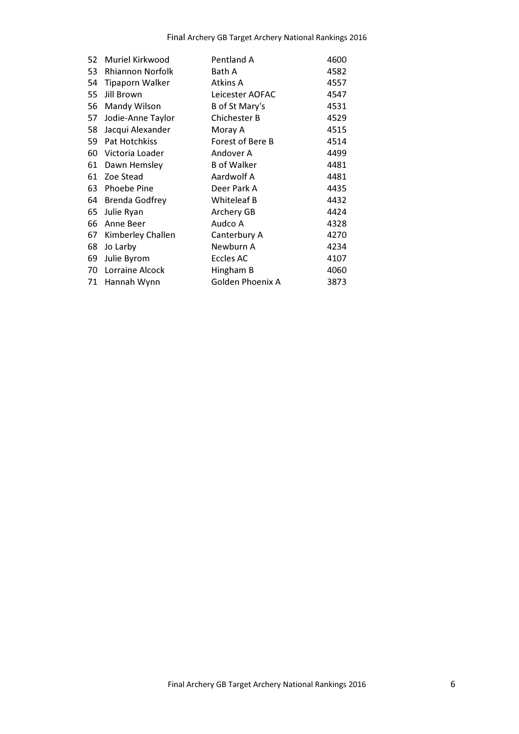| 52 | Muriel Kirkwood         | Pentland A              | 4600 |
|----|-------------------------|-------------------------|------|
| 53 | <b>Rhiannon Norfolk</b> | Bath A                  | 4582 |
| 54 | <b>Tipaporn Walker</b>  | Atkins A                | 4557 |
| 55 | Jill Brown              | Leicester AOFAC         | 4547 |
| 56 | Mandy Wilson            | B of St Mary's          | 4531 |
| 57 | Jodie-Anne Taylor       | <b>Chichester B</b>     | 4529 |
| 58 | Jacqui Alexander        | Moray A                 | 4515 |
| 59 | Pat Hotchkiss           | Forest of Bere B        | 4514 |
| 60 | Victoria Loader         | Andover A               | 4499 |
| 61 | Dawn Hemsley            | <b>B</b> of Walker      | 4481 |
| 61 | Zoe Stead               | Aardwolf A              | 4481 |
| 63 | <b>Phoebe Pine</b>      | Deer Park A             | 4435 |
| 64 | <b>Brenda Godfrey</b>   | <b>Whiteleaf B</b>      | 4432 |
| 65 | Julie Ryan              | Archery GB              | 4424 |
| 66 | Anne Beer               | Audco A                 | 4328 |
| 67 | Kimberley Challen       | Canterbury A            | 4270 |
| 68 | Jo Larby                | Newburn A               | 4234 |
| 69 | Julie Byrom             | <b>Eccles AC</b>        | 4107 |
| 70 | Lorraine Alcock         | Hingham B               | 4060 |
| 71 | Hannah Wynn             | <b>Golden Phoenix A</b> | 3873 |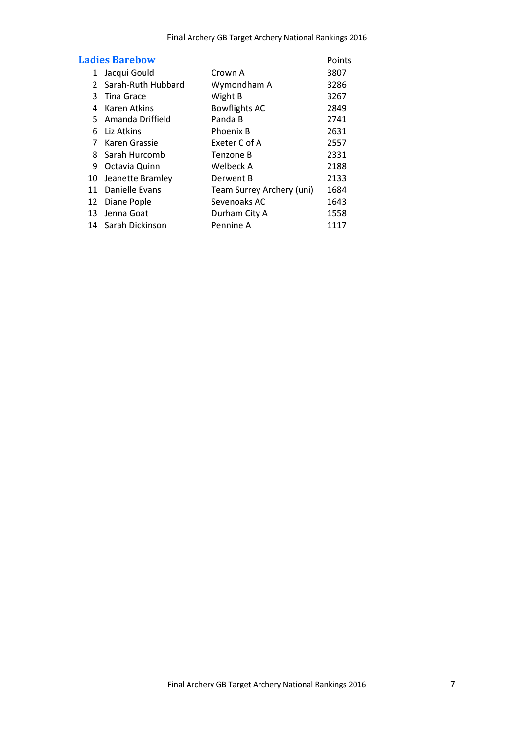| <b>Ladies Barebow</b> |                    |                           | Points |
|-----------------------|--------------------|---------------------------|--------|
| 1                     | Jacqui Gould       | Crown A                   | 3807   |
| 2                     | Sarah-Ruth Hubbard | Wymondham A               | 3286   |
| 3                     | <b>Tina Grace</b>  | Wight B                   | 3267   |
| 4                     | Karen Atkins       | <b>Bowflights AC</b>      | 2849   |
|                       | 5 Amanda Driffield | Panda B                   | 2741   |
| 6                     | Liz Atkins         | <b>Phoenix B</b>          | 2631   |
| 7                     | Karen Grassie      | Exeter C of A             | 2557   |
|                       | 8 Sarah Hurcomb    | Tenzone B                 | 2331   |
| 9                     | Octavia Quinn      | Welbeck A                 | 2188   |
| 10                    | Jeanette Bramley   | Derwent B                 | 2133   |
| 11                    | Danielle Evans     | Team Surrey Archery (uni) | 1684   |
| 12                    | Diane Pople        | Sevenoaks AC              | 1643   |
| 13                    | Jenna Goat         | Durham City A             | 1558   |
|                       | 14 Sarah Dickinson | Pennine A                 | 1117   |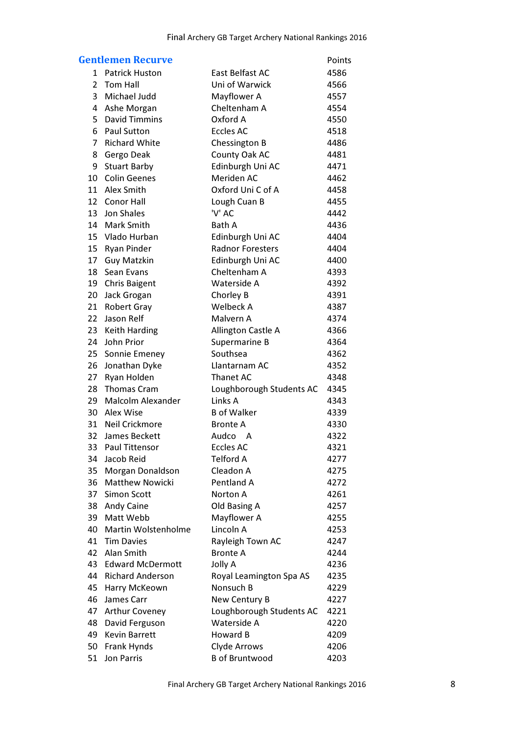|                | <b>Gentlemen Recurve</b>   |                          | Points |
|----------------|----------------------------|--------------------------|--------|
| 1              | <b>Patrick Huston</b>      | <b>East Belfast AC</b>   | 4586   |
| $\overline{2}$ | <b>Tom Hall</b>            | Uni of Warwick           | 4566   |
| 3              | Michael Judd               | Mayflower A              | 4557   |
| 4              | Ashe Morgan                | Cheltenham A             | 4554   |
| 5              | <b>David Timmins</b>       | Oxford A                 | 4550   |
| 6              | <b>Paul Sutton</b>         | <b>Eccles AC</b>         | 4518   |
| $\overline{7}$ | <b>Richard White</b>       | Chessington B            | 4486   |
| 8              | Gergo Deak                 | County Oak AC            | 4481   |
| 9              | <b>Stuart Barby</b>        | Edinburgh Uni AC         | 4471   |
| 10             | <b>Colin Geenes</b>        | Meriden AC               | 4462   |
| 11             | Alex Smith                 | Oxford Uni C of A        | 4458   |
| 12             | <b>Conor Hall</b>          | Lough Cuan B             | 4455   |
| 13             | Jon Shales                 | 'V' AC                   | 4442   |
| 14             | <b>Mark Smith</b>          | Bath A                   | 4436   |
| 15             | Vlado Hurban               | Edinburgh Uni AC         | 4404   |
| 15             | <b>Ryan Pinder</b>         | <b>Radnor Foresters</b>  | 4404   |
| 17             | <b>Guy Matzkin</b>         | Edinburgh Uni AC         | 4400   |
| 18             | Sean Evans                 | Cheltenham A             | 4393   |
| 19             | <b>Chris Baigent</b>       | Waterside A              | 4392   |
| 20             | Jack Grogan                | Chorley B                | 4391   |
| 21             | <b>Robert Gray</b>         | Welbeck A                | 4387   |
| 22             | Jason Relf                 | Malvern A                | 4374   |
| 23             | <b>Keith Harding</b>       | Allington Castle A       | 4366   |
| 24             | John Prior                 | Supermarine B            | 4364   |
| 25             | Sonnie Emeney              | Southsea                 | 4362   |
| 26             | Jonathan Dyke              | Llantarnam AC            | 4352   |
| 27             | Ryan Holden                | <b>Thanet AC</b>         | 4348   |
| 28             | <b>Thomas Cram</b>         | Loughborough Students AC | 4345   |
| 29             | <b>Malcolm Alexander</b>   | Links A                  | 4343   |
| 30             | Alex Wise                  | <b>B</b> of Walker       | 4339   |
| 31             | <b>Neil Crickmore</b>      | <b>Bronte A</b>          | 4330   |
| 32             | James Beckett              | Audco A                  | 4322   |
| 33             | <b>Paul Tittensor</b>      | <b>Eccles AC</b>         | 4321   |
| 34             | Jacob Reid                 | <b>Telford A</b>         | 4277   |
| 35             | Morgan Donaldson           | Cleadon A                | 4275   |
| 36             | <b>Matthew Nowicki</b>     | Pentland A               | 4272   |
| 37             | <b>Simon Scott</b>         | Norton A                 | 4261   |
| 38             | <b>Andy Caine</b>          | Old Basing A             | 4257   |
| 39             | Matt Webb                  | Mayflower A              | 4255   |
| 40             | <b>Martin Wolstenholme</b> | Lincoln A                | 4253   |
| 41             | <b>Tim Davies</b>          | Rayleigh Town AC         | 4247   |
| 42             | Alan Smith                 | <b>Bronte A</b>          | 4244   |
| 43             | <b>Edward McDermott</b>    | Jolly A                  | 4236   |
| 44             | <b>Richard Anderson</b>    | Royal Leamington Spa AS  | 4235   |
| 45             | Harry McKeown              | Nonsuch B                | 4229   |
| 46             | James Carr                 | New Century B            | 4227   |
| 47             | <b>Arthur Coveney</b>      | Loughborough Students AC | 4221   |
| 48             | David Ferguson             | Waterside A              | 4220   |
| 49             | <b>Kevin Barrett</b>       | Howard B                 | 4209   |
| 50             | Frank Hynds                | Clyde Arrows             | 4206   |
| 51             | <b>Jon Parris</b>          | <b>B</b> of Bruntwood    | 4203   |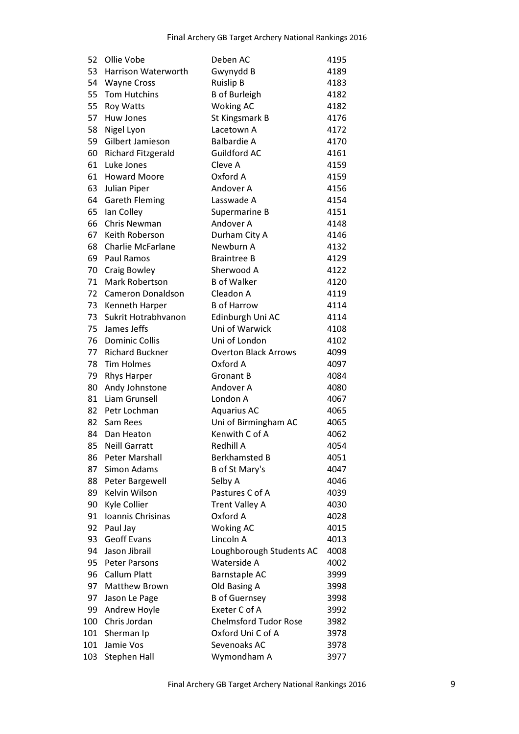| 52  | Ollie Vobe                | Deben AC                     | 4195 |
|-----|---------------------------|------------------------------|------|
| 53  | Harrison Waterworth       | Gwynydd B                    | 4189 |
| 54  | <b>Wayne Cross</b>        | <b>Ruislip B</b>             | 4183 |
| 55  | <b>Tom Hutchins</b>       | <b>B</b> of Burleigh         | 4182 |
| 55  | <b>Roy Watts</b>          | <b>Woking AC</b>             | 4182 |
| 57  | Huw Jones                 | St Kingsmark B               | 4176 |
| 58  | Nigel Lyon                | Lacetown A                   | 4172 |
| 59  | Gilbert Jamieson          | <b>Balbardie A</b>           | 4170 |
| 60  | <b>Richard Fitzgerald</b> | <b>Guildford AC</b>          | 4161 |
| 61  | Luke Jones                | Cleve A                      | 4159 |
| 61  | <b>Howard Moore</b>       | Oxford A                     | 4159 |
| 63  | Julian Piper              | Andover A                    | 4156 |
| 64  | <b>Gareth Fleming</b>     | Lasswade A                   | 4154 |
| 65  | lan Colley                | Supermarine B                | 4151 |
| 66  | Chris Newman              | Andover A                    | 4148 |
| 67  | Keith Roberson            | Durham City A                | 4146 |
| 68  | <b>Charlie McFarlane</b>  | Newburn A                    | 4132 |
| 69  | <b>Paul Ramos</b>         | <b>Braintree B</b>           | 4129 |
| 70  | Craig Bowley              | Sherwood A                   | 4122 |
| 71  | <b>Mark Robertson</b>     | <b>B</b> of Walker           | 4120 |
| 72  | <b>Cameron Donaldson</b>  | Cleadon A                    | 4119 |
| 73  | Kenneth Harper            | <b>B</b> of Harrow           | 4114 |
| 73  | Sukrit Hotrabhvanon       | Edinburgh Uni AC             | 4114 |
| 75  | James Jeffs               | Uni of Warwick               | 4108 |
| 76  | <b>Dominic Collis</b>     | Uni of London                | 4102 |
| 77  | <b>Richard Buckner</b>    | <b>Overton Black Arrows</b>  | 4099 |
| 78  | <b>Tim Holmes</b>         | Oxford A                     | 4097 |
| 79  | <b>Rhys Harper</b>        | <b>Gronant B</b>             | 4084 |
| 80  | Andy Johnstone            | Andover A                    | 4080 |
| 81  | <b>Liam Grunsell</b>      | London A                     | 4067 |
| 82  | Petr Lochman              | <b>Aquarius AC</b>           | 4065 |
| 82  | Sam Rees                  | Uni of Birmingham AC         | 4065 |
| 84  | Dan Heaton                | Kenwith C of A               | 4062 |
| 85  | <b>Neill Garratt</b>      | <b>Redhill A</b>             | 4054 |
| 86  | <b>Peter Marshall</b>     | <b>Berkhamsted B</b>         | 4051 |
| 87  | <b>Simon Adams</b>        | B of St Mary's               | 4047 |
| 88  | Peter Bargewell           | Selby A                      | 4046 |
| 89  | Kelvin Wilson             | Pastures C of A              | 4039 |
| 90  | Kyle Collier              | <b>Trent Valley A</b>        | 4030 |
| 91  | Ioannis Chrisinas         | Oxford A                     | 4028 |
| 92  | Paul Jay                  | <b>Woking AC</b>             | 4015 |
| 93  | <b>Geoff Evans</b>        | Lincoln A                    | 4013 |
| 94  | Jason Jibrail             | Loughborough Students AC     | 4008 |
| 95  | <b>Peter Parsons</b>      | Waterside A                  | 4002 |
| 96  | <b>Callum Platt</b>       | <b>Barnstaple AC</b>         | 3999 |
| 97  | <b>Matthew Brown</b>      | Old Basing A                 | 3998 |
| 97  | Jason Le Page             | <b>B</b> of Guernsey         | 3998 |
| 99  | Andrew Hoyle              | Exeter C of A                | 3992 |
| 100 | Chris Jordan              | <b>Chelmsford Tudor Rose</b> | 3982 |
| 101 | Sherman Ip                | Oxford Uni C of A            | 3978 |
| 101 | Jamie Vos                 | Sevenoaks AC                 | 3978 |
| 103 | <b>Stephen Hall</b>       | Wymondham A                  | 3977 |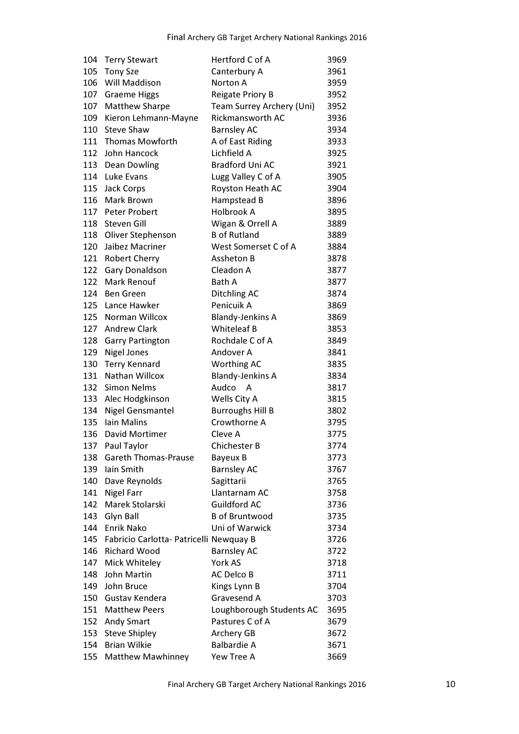| 104 | <b>Terry Stewart</b>                    | Hertford C of A           | 3969 |
|-----|-----------------------------------------|---------------------------|------|
| 105 | <b>Tony Sze</b>                         | Canterbury A              | 3961 |
| 106 | Will Maddison                           | Norton A                  | 3959 |
| 107 | <b>Graeme Higgs</b>                     | <b>Reigate Priory B</b>   | 3952 |
| 107 | <b>Matthew Sharpe</b>                   | Team Surrey Archery (Uni) | 3952 |
| 109 | Kieron Lehmann-Mayne                    | <b>Rickmansworth AC</b>   | 3936 |
| 110 | <b>Steve Shaw</b>                       | <b>Barnsley AC</b>        | 3934 |
|     | 111 Thomas Mowforth                     | A of East Riding          | 3933 |
| 112 | John Hancock                            | Lichfield A               | 3925 |
|     | 113 Dean Dowling                        | <b>Bradford Uni AC</b>    | 3921 |
|     | 114 Luke Evans                          | Lugg Valley C of A        | 3905 |
| 115 | <b>Jack Corps</b>                       | Royston Heath AC          | 3904 |
| 116 | Mark Brown                              | Hampstead B               | 3896 |
| 117 | Peter Probert                           | Holbrook A                | 3895 |
|     | 118 Steven Gill                         | Wigan & Orrell A          | 3889 |
|     | 118 Oliver Stephenson                   | <b>B</b> of Rutland       | 3889 |
| 120 | Jaibez Macriner                         | West Somerset C of A      | 3884 |
| 121 | <b>Robert Cherry</b>                    | Assheton B                | 3878 |
| 122 | <b>Gary Donaldson</b>                   | Cleadon A                 | 3877 |
|     | 122 Mark Renouf                         | Bath A                    | 3877 |
|     | 124 Ben Green                           | <b>Ditchling AC</b>       | 3874 |
| 125 | Lance Hawker                            | Penicuik A                | 3869 |
|     | 125 Norman Willcox                      | <b>Blandy-Jenkins A</b>   | 3869 |
|     | 127 Andrew Clark                        | <b>Whiteleaf B</b>        | 3853 |
| 128 | <b>Garry Partington</b>                 | Rochdale C of A           | 3849 |
| 129 | <b>Nigel Jones</b>                      | Andover A                 | 3841 |
| 130 | <b>Terry Kennard</b>                    | Worthing AC               | 3835 |
| 131 | Nathan Willcox                          | <b>Blandy-Jenkins A</b>   | 3834 |
| 132 | <b>Simon Nelms</b>                      | Audco A                   | 3817 |
| 133 | Alec Hodgkinson                         | Wells City A              | 3815 |
| 134 | <b>Nigel Gensmantel</b>                 | <b>Burroughs Hill B</b>   | 3802 |
| 135 | Iain Malins                             | Crowthorne A              | 3795 |
| 136 | <b>David Mortimer</b>                   | Cleve A                   | 3775 |
| 137 | Paul Taylor                             | <b>Chichester B</b>       | 3774 |
| 138 | <b>Gareth Thomas-Prause</b>             | Bayeux B                  | 3773 |
| 139 | lain Smith                              | <b>Barnsley AC</b>        | 3767 |
| 140 | Dave Reynolds                           | Sagittarii                | 3765 |
| 141 | <b>Nigel Farr</b>                       | Llantarnam AC             | 3758 |
| 142 | Marek Stolarski                         | <b>Guildford AC</b>       | 3736 |
| 143 | Glyn Ball                               | <b>B</b> of Bruntwood     | 3735 |
| 144 | Enrik Nako                              | Uni of Warwick            | 3734 |
| 145 | Fabricio Carlotta- Patricelli Newquay B |                           | 3726 |
| 146 | <b>Richard Wood</b>                     | <b>Barnsley AC</b>        | 3722 |
| 147 | Mick Whiteley                           | York AS                   | 3718 |
| 148 | John Martin                             | <b>AC Delco B</b>         | 3711 |
| 149 | John Bruce                              | Kings Lynn B              | 3704 |
| 150 | Gustav Kendera                          | Gravesend A               | 3703 |
| 151 | <b>Matthew Peers</b>                    | Loughborough Students AC  | 3695 |
|     | 152 Andy Smart                          | Pastures C of A           | 3679 |
| 153 | <b>Steve Shipley</b>                    | Archery GB                | 3672 |
| 154 | <b>Brian Wilkie</b>                     | <b>Balbardie A</b>        | 3671 |
| 155 | <b>Matthew Mawhinney</b>                | Yew Tree A                | 3669 |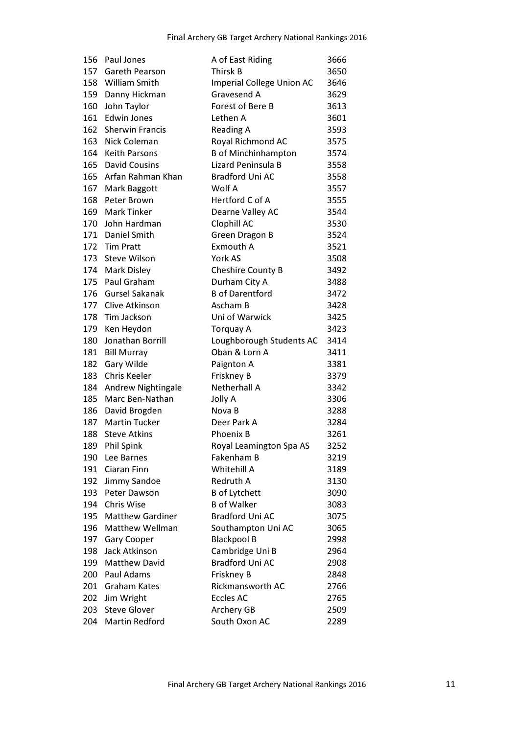| 156 | Paul Jones              | A of East Riding           | 3666 |
|-----|-------------------------|----------------------------|------|
|     | 157 Gareth Pearson      | Thirsk B                   | 3650 |
|     | 158 William Smith       | Imperial College Union AC  | 3646 |
|     | 159 Danny Hickman       | Gravesend A                | 3629 |
| 160 | John Taylor             | Forest of Bere B           | 3613 |
|     | 161 Edwin Jones         | Lethen A                   | 3601 |
| 162 | <b>Sherwin Francis</b>  | <b>Reading A</b>           | 3593 |
| 163 | Nick Coleman            | Royal Richmond AC          | 3575 |
|     | 164 Keith Parsons       | <b>B</b> of Minchinhampton | 3574 |
|     | 165 David Cousins       | Lizard Peninsula B         | 3558 |
|     | 165 Arfan Rahman Khan   | <b>Bradford Uni AC</b>     | 3558 |
| 167 | Mark Baggott            | Wolf A                     | 3557 |
| 168 | Peter Brown             | Hertford C of A            | 3555 |
|     | 169 Mark Tinker         | Dearne Valley AC           | 3544 |
|     | 170 John Hardman        | Clophill AC                | 3530 |
|     | 171 Daniel Smith        | Green Dragon B             | 3524 |
|     | 172 Tim Pratt           | Exmouth A                  | 3521 |
|     | 173 Steve Wilson        | York AS                    | 3508 |
|     | 174 Mark Disley         | <b>Cheshire County B</b>   | 3492 |
|     | 175 Paul Graham         | Durham City A              | 3488 |
|     | 176 Gursel Sakanak      | <b>B</b> of Darentford     | 3472 |
|     | 177 Clive Atkinson      | Ascham B                   | 3428 |
|     | 178 Tim Jackson         | Uni of Warwick             | 3425 |
|     | 179 Ken Heydon          | <b>Torquay A</b>           | 3423 |
| 180 | Jonathan Borrill        | Loughborough Students AC   | 3414 |
| 181 | Bill Murray             | Oban & Lorn A              | 3411 |
| 182 | Gary Wilde              | Paignton A                 | 3381 |
| 183 | Chris Keeler            | Friskney B                 | 3379 |
| 184 | Andrew Nightingale      | <b>Netherhall A</b>        | 3342 |
| 185 | Marc Ben-Nathan         | Jolly A                    | 3306 |
|     | 186 David Brogden       | Nova B                     | 3288 |
|     | 187 Martin Tucker       | Deer Park A                | 3284 |
| 188 | <b>Steve Atkins</b>     | Phoenix B                  | 3261 |
| 189 | <b>Phil Spink</b>       | Royal Leamington Spa AS    | 3252 |
| 190 | Lee Barnes              | Fakenham B                 | 3219 |
| 191 | Ciaran Finn             | Whitehill A                | 3189 |
| 192 | Jimmy Sandoe            | Redruth A                  | 3130 |
| 193 | Peter Dawson            | <b>B</b> of Lytchett       | 3090 |
| 194 | <b>Chris Wise</b>       | <b>B</b> of Walker         | 3083 |
| 195 | <b>Matthew Gardiner</b> | <b>Bradford Uni AC</b>     | 3075 |
| 196 | <b>Matthew Wellman</b>  | Southampton Uni AC         | 3065 |
| 197 | <b>Gary Cooper</b>      | <b>Blackpool B</b>         | 2998 |
| 198 | Jack Atkinson           | Cambridge Uni B            | 2964 |
| 199 | <b>Matthew David</b>    | <b>Bradford Uni AC</b>     | 2908 |
| 200 | Paul Adams              | Friskney B                 | 2848 |
| 201 | <b>Graham Kates</b>     | Rickmansworth AC           | 2766 |
| 202 | Jim Wright              | <b>Eccles AC</b>           | 2765 |
| 203 | <b>Steve Glover</b>     | Archery GB                 | 2509 |
| 204 | <b>Martin Redford</b>   | South Oxon AC              | 2289 |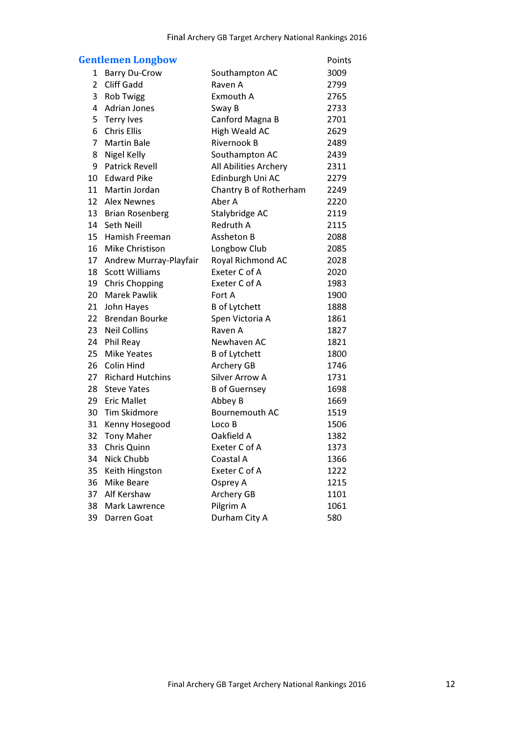|    | <b>Gentlemen Longbow</b> |                        | Points |
|----|--------------------------|------------------------|--------|
| 1  | <b>Barry Du-Crow</b>     | Southampton AC         | 3009   |
| 2  | <b>Cliff Gadd</b>        | Raven A                | 2799   |
| 3  | <b>Rob Twigg</b>         | <b>Exmouth A</b>       | 2765   |
| 4  | <b>Adrian Jones</b>      | Sway B                 | 2733   |
| 5  | Terry Ives               | Canford Magna B        | 2701   |
| 6  | <b>Chris Ellis</b>       | <b>High Weald AC</b>   | 2629   |
| 7  | <b>Martin Bale</b>       | <b>Rivernook B</b>     | 2489   |
| 8  | Nigel Kelly              | Southampton AC         | 2439   |
|    | 9 Patrick Revell         | All Abilities Archery  | 2311   |
|    | 10 Edward Pike           | Edinburgh Uni AC       | 2279   |
| 11 | Martin Jordan            | Chantry B of Rotherham | 2249   |
| 12 | Alex Newnes              | Aber A                 | 2220   |
|    | 13 Brian Rosenberg       | Stalybridge AC         | 2119   |
| 14 | Seth Neill               | Redruth A              | 2115   |
| 15 | Hamish Freeman           | Assheton B             | 2088   |
| 16 | Mike Christison          | Longbow Club           | 2085   |
| 17 | Andrew Murray-Playfair   | Royal Richmond AC      | 2028   |
| 18 | <b>Scott Williams</b>    | Exeter C of A          | 2020   |
| 19 | <b>Chris Chopping</b>    | Exeter C of A          | 1983   |
| 20 | <b>Marek Pawlik</b>      | Fort A                 | 1900   |
| 21 | John Hayes               | <b>B</b> of Lytchett   | 1888   |
| 22 | <b>Brendan Bourke</b>    | Spen Victoria A        | 1861   |
| 23 | <b>Neil Collins</b>      | Raven A                | 1827   |
|    | 24 Phil Reay             | Newhaven AC            | 1821   |
| 25 | <b>Mike Yeates</b>       | <b>B</b> of Lytchett   | 1800   |
| 26 | Colin Hind               | Archery GB             | 1746   |
| 27 | <b>Richard Hutchins</b>  | <b>Silver Arrow A</b>  | 1731   |
| 28 | <b>Steve Yates</b>       | <b>B</b> of Guernsey   | 1698   |
|    | 29 Eric Mallet           | Abbey B                | 1669   |
| 30 | Tim Skidmore             | Bournemouth AC         | 1519   |
| 31 | Kenny Hosegood           | Loco B                 | 1506   |
| 32 | <b>Tony Maher</b>        | Oakfield A             | 1382   |
| 33 | Chris Quinn              | Exeter C of A          | 1373   |
| 34 | Nick Chubb               | Coastal A              | 1366   |
| 35 | Keith Hingston           | Exeter C of A          | 1222   |
| 36 | <b>Mike Beare</b>        | Osprey A               | 1215   |
| 37 | Alf Kershaw              | Archery GB             | 1101   |
| 38 | <b>Mark Lawrence</b>     | Pilgrim A              | 1061   |
| 39 | Darren Goat              | Durham City A          | 580    |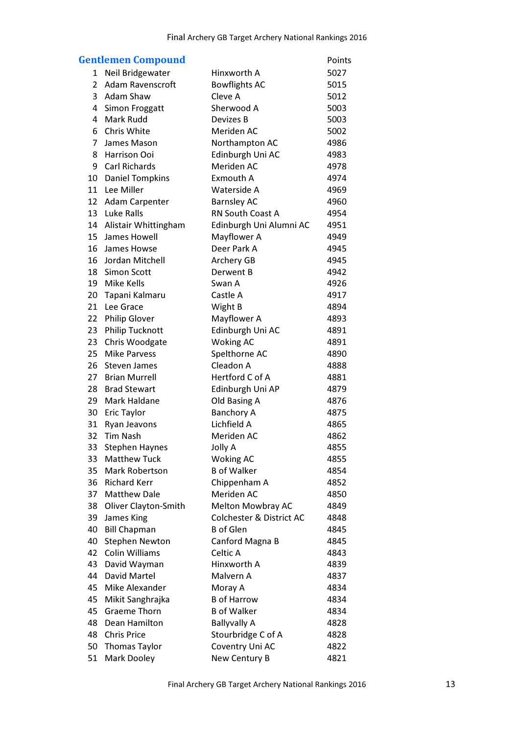| <b>Gentlemen Compound</b><br><b>Points</b> |                             |                                     |      |  |
|--------------------------------------------|-----------------------------|-------------------------------------|------|--|
| 1                                          | Neil Bridgewater            | Hinxworth A                         | 5027 |  |
| $\overline{2}$                             | <b>Adam Ravenscroft</b>     | <b>Bowflights AC</b>                | 5015 |  |
| 3                                          | <b>Adam Shaw</b>            | Cleve A                             | 5012 |  |
| 4                                          | Simon Froggatt              | Sherwood A                          | 5003 |  |
| 4                                          | <b>Mark Rudd</b>            | Devizes B                           | 5003 |  |
| 6                                          | Chris White                 | Meriden AC                          | 5002 |  |
| $\overline{7}$                             | James Mason                 | Northampton AC                      | 4986 |  |
| 8                                          | Harrison Ooi                | Edinburgh Uni AC                    | 4983 |  |
| 9                                          | <b>Carl Richards</b>        | Meriden AC                          | 4978 |  |
| 10                                         | <b>Daniel Tompkins</b>      | Exmouth A                           | 4974 |  |
| 11                                         | Lee Miller                  | Waterside A                         | 4969 |  |
| 12                                         | Adam Carpenter              | <b>Barnsley AC</b>                  | 4960 |  |
| 13                                         | Luke Ralls                  | RN South Coast A                    | 4954 |  |
| 14                                         | Alistair Whittingham        | Edinburgh Uni Alumni AC             | 4951 |  |
| 15                                         | James Howell                | Mayflower A                         | 4949 |  |
| 16                                         | James Howse                 | Deer Park A                         | 4945 |  |
| 16                                         | Jordan Mitchell             | Archery GB                          | 4945 |  |
| 18                                         | <b>Simon Scott</b>          | Derwent B                           | 4942 |  |
| 19                                         | Mike Kells                  | Swan A                              | 4926 |  |
| 20                                         | Tapani Kalmaru              | Castle A                            | 4917 |  |
| 21                                         | Lee Grace                   | Wight B                             | 4894 |  |
| 22                                         | <b>Philip Glover</b>        | Mayflower A                         | 4893 |  |
| 23                                         | <b>Philip Tucknott</b>      | Edinburgh Uni AC                    | 4891 |  |
| 23                                         | Chris Woodgate              | <b>Woking AC</b>                    | 4891 |  |
| 25                                         | <b>Mike Parvess</b>         | Spelthorne AC                       | 4890 |  |
| 26                                         | <b>Steven James</b>         | Cleadon A                           | 4888 |  |
| 27                                         | <b>Brian Murrell</b>        | Hertford C of A                     | 4881 |  |
| 28                                         | <b>Brad Stewart</b>         | Edinburgh Uni AP                    | 4879 |  |
| 29                                         | <b>Mark Haldane</b>         | Old Basing A                        | 4876 |  |
| 30                                         | <b>Eric Taylor</b>          | <b>Banchory A</b>                   | 4875 |  |
| 31                                         | Ryan Jeavons                | Lichfield A                         | 4865 |  |
| 32                                         | <b>Tim Nash</b>             | Meriden AC                          | 4862 |  |
| 33                                         | <b>Stephen Haynes</b>       | Jolly A                             | 4855 |  |
| 33                                         | <b>Matthew Tuck</b>         | <b>Woking AC</b>                    | 4855 |  |
| 35                                         | <b>Mark Robertson</b>       | <b>B</b> of Walker                  | 4854 |  |
| 36                                         | <b>Richard Kerr</b>         | Chippenham A                        | 4852 |  |
| 37                                         | <b>Matthew Dale</b>         | Meriden AC                          | 4850 |  |
| 38                                         | <b>Oliver Clayton-Smith</b> | <b>Melton Mowbray AC</b>            | 4849 |  |
| 39                                         | James King                  | <b>Colchester &amp; District AC</b> | 4848 |  |
| 40                                         | <b>Bill Chapman</b>         | <b>B</b> of Glen                    | 4845 |  |
| 40                                         | <b>Stephen Newton</b>       | Canford Magna B                     | 4845 |  |
| 42                                         | <b>Colin Williams</b>       | Celtic A                            | 4843 |  |
| 43                                         | David Wayman                | Hinxworth A                         | 4839 |  |
| 44                                         | David Martel                | Malvern A                           | 4837 |  |
| 45                                         | Mike Alexander              | Moray A                             | 4834 |  |
| 45                                         | Mikit Sanghrajka            | <b>B</b> of Harrow                  | 4834 |  |
| 45                                         | <b>Graeme Thorn</b>         | <b>B</b> of Walker                  | 4834 |  |
| 48                                         | Dean Hamilton               | <b>Ballyvally A</b>                 | 4828 |  |
| 48                                         | <b>Chris Price</b>          | Stourbridge C of A                  | 4828 |  |
| 50                                         | <b>Thomas Taylor</b>        | Coventry Uni AC                     | 4822 |  |
| 51                                         | <b>Mark Dooley</b>          | New Century B                       | 4821 |  |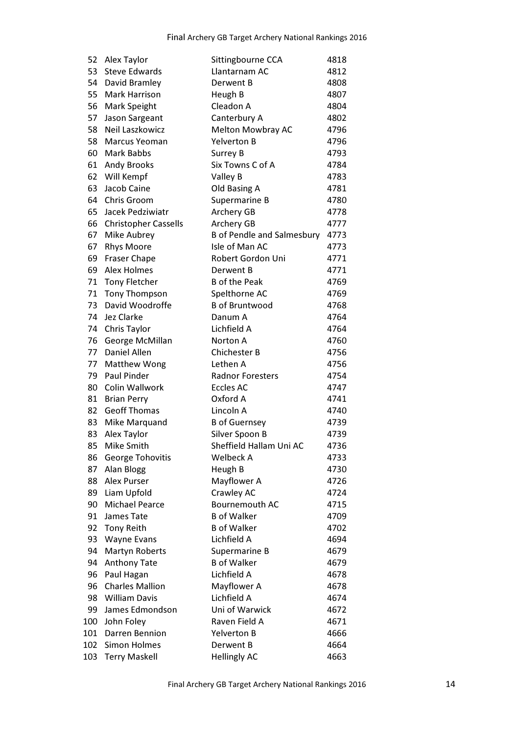| 52  | Alex Taylor                 | Sittingbourne CCA                 | 4818 |
|-----|-----------------------------|-----------------------------------|------|
| 53  | <b>Steve Edwards</b>        | Llantarnam AC                     | 4812 |
| 54  | David Bramley               | Derwent B                         | 4808 |
| 55  | <b>Mark Harrison</b>        | Heugh B                           | 4807 |
| 56  | Mark Speight                | Cleadon A                         | 4804 |
| 57  | Jason Sargeant              | Canterbury A                      | 4802 |
| 58  | Neil Laszkowicz             | <b>Melton Mowbray AC</b>          | 4796 |
| 58  | <b>Marcus Yeoman</b>        | <b>Yelverton B</b>                | 4796 |
| 60  | <b>Mark Babbs</b>           | Surrey B                          | 4793 |
| 61  | <b>Andy Brooks</b>          | Six Towns C of A                  | 4784 |
| 62  | Will Kempf                  | Valley B                          | 4783 |
| 63  | Jacob Caine                 | Old Basing A                      | 4781 |
| 64  | Chris Groom                 | Supermarine B                     | 4780 |
| 65  | Jacek Pedziwiatr            | <b>Archery GB</b>                 | 4778 |
| 66  | <b>Christopher Cassells</b> | Archery GB                        | 4777 |
| 67  | Mike Aubrey                 | <b>B</b> of Pendle and Salmesbury | 4773 |
| 67  | <b>Rhys Moore</b>           | Isle of Man AC                    | 4773 |
| 69  | <b>Fraser Chape</b>         | <b>Robert Gordon Uni</b>          | 4771 |
| 69  | Alex Holmes                 | Derwent B                         | 4771 |
| 71  | <b>Tony Fletcher</b>        | <b>B</b> of the Peak              | 4769 |
| 71  | <b>Tony Thompson</b>        | Spelthorne AC                     | 4769 |
| 73  | David Woodroffe             | <b>B</b> of Bruntwood             | 4768 |
| 74  | Jez Clarke                  | Danum A                           | 4764 |
| 74  | <b>Chris Taylor</b>         | Lichfield A                       | 4764 |
| 76  | George McMillan             | Norton A                          | 4760 |
| 77  | <b>Daniel Allen</b>         | <b>Chichester B</b>               | 4756 |
| 77  | <b>Matthew Wong</b>         | Lethen A                          | 4756 |
| 79  | <b>Paul Pinder</b>          | <b>Radnor Foresters</b>           | 4754 |
| 80  | Colin Wallwork              | <b>Eccles AC</b>                  | 4747 |
| 81  | <b>Brian Perry</b>          | Oxford A                          | 4741 |
| 82  | <b>Geoff Thomas</b>         | Lincoln A                         | 4740 |
| 83  | Mike Marquand               | <b>B</b> of Guernsey              | 4739 |
| 83  | Alex Taylor                 | Silver Spoon B                    | 4739 |
| 85  | Mike Smith                  | Sheffield Hallam Uni AC           | 4736 |
| 86  | George Tohovitis            | Welbeck A                         | 4733 |
| 87  | Alan Blogg                  | Heugh B                           | 4730 |
| 88  | <b>Alex Purser</b>          | Mayflower A                       | 4726 |
| 89  | Liam Upfold                 | Crawley AC                        | 4724 |
| 90  | <b>Michael Pearce</b>       | Bournemouth AC                    | 4715 |
| 91  | James Tate                  | <b>B</b> of Walker                | 4709 |
| 92  | <b>Tony Reith</b>           | <b>B</b> of Walker                | 4702 |
| 93  | <b>Wayne Evans</b>          | Lichfield A                       | 4694 |
| 94  | <b>Martyn Roberts</b>       | Supermarine B                     | 4679 |
| 94  | <b>Anthony Tate</b>         | <b>B</b> of Walker                | 4679 |
| 96  | Paul Hagan                  | Lichfield A                       | 4678 |
| 96  | <b>Charles Mallion</b>      | Mayflower A                       | 4678 |
| 98  | <b>William Davis</b>        | Lichfield A                       | 4674 |
| 99  | James Edmondson             | Uni of Warwick                    | 4672 |
| 100 | John Foley                  | Raven Field A                     | 4671 |
| 101 | Darren Bennion              | <b>Yelverton B</b>                | 4666 |
| 102 | <b>Simon Holmes</b>         | Derwent B                         | 4664 |
| 103 | <b>Terry Maskell</b>        | <b>Hellingly AC</b>               | 4663 |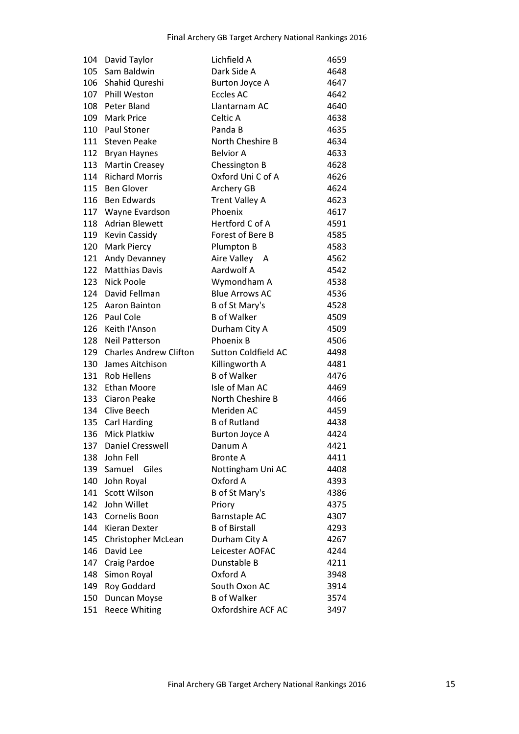| 104 | David Taylor                  | Lichfield A                | 4659 |
|-----|-------------------------------|----------------------------|------|
|     | 105 Sam Baldwin               | Dark Side A                | 4648 |
|     | 106 Shahid Qureshi            | <b>Burton Joyce A</b>      | 4647 |
|     | 107 Phill Weston              | <b>Eccles AC</b>           | 4642 |
| 108 | <b>Peter Bland</b>            | Llantarnam AC              | 4640 |
| 109 | <b>Mark Price</b>             | Celtic A                   | 4638 |
|     | 110 Paul Stoner               | Panda B                    | 4635 |
| 111 | <b>Steven Peake</b>           | North Cheshire B           | 4634 |
| 112 | Bryan Haynes                  | <b>Belvior A</b>           | 4633 |
| 113 | <b>Martin Creasey</b>         | Chessington B              | 4628 |
|     | 114 Richard Morris            | Oxford Uni C of A          | 4626 |
|     | 115 Ben Glover                | Archery GB                 | 4624 |
| 116 | <b>Ben Edwards</b>            | <b>Trent Valley A</b>      | 4623 |
|     | 117 Wayne Evardson            | Phoenix                    | 4617 |
| 118 | <b>Adrian Blewett</b>         | Hertford C of A            | 4591 |
|     | 119 Kevin Cassidy             | Forest of Bere B           | 4585 |
| 120 | <b>Mark Piercy</b>            | Plumpton B                 | 4583 |
| 121 | Andy Devanney                 | Aire Valley A              | 4562 |
| 122 | <b>Matthias Davis</b>         | Aardwolf A                 | 4542 |
| 123 | <b>Nick Poole</b>             | Wymondham A                | 4538 |
| 124 | David Fellman                 | <b>Blue Arrows AC</b>      | 4536 |
| 125 | Aaron Bainton                 | B of St Mary's             | 4528 |
|     | 126 Paul Cole                 | <b>B</b> of Walker         | 4509 |
| 126 | Keith I'Anson                 | Durham City A              | 4509 |
| 128 | <b>Neil Patterson</b>         | Phoenix B                  | 4506 |
| 129 | <b>Charles Andrew Clifton</b> | <b>Sutton Coldfield AC</b> | 4498 |
| 130 | James Aitchison               | Killingworth A             | 4481 |
|     | 131 Rob Hellens               | <b>B</b> of Walker         | 4476 |
| 132 | Ethan Moore                   | Isle of Man AC             | 4469 |
| 133 | <b>Ciaron Peake</b>           | North Cheshire B           | 4466 |
|     | 134 Clive Beech               | Meriden AC                 | 4459 |
|     | 135 Carl Harding              | <b>B</b> of Rutland        | 4438 |
| 136 | <b>Mick Platkiw</b>           | <b>Burton Joyce A</b>      | 4424 |
| 137 | <b>Daniel Cresswell</b>       | Danum A                    | 4421 |
| 138 | John Fell                     | <b>Bronte A</b>            | 4411 |
| 139 | Samuel<br>Giles               | Nottingham Uni AC          | 4408 |
| 140 | John Royal                    | Oxford A                   | 4393 |
| 141 | <b>Scott Wilson</b>           | B of St Mary's             | 4386 |
| 142 | John Willet                   | Priory                     | 4375 |
| 143 | Cornelis Boon                 | <b>Barnstaple AC</b>       | 4307 |
| 144 | <b>Kieran Dexter</b>          | <b>B</b> of Birstall       | 4293 |
| 145 | <b>Christopher McLean</b>     | Durham City A              | 4267 |
| 146 | David Lee                     | Leicester AOFAC            | 4244 |
| 147 | Craig Pardoe                  | Dunstable B                | 4211 |
| 148 | Simon Royal                   | Oxford A                   | 3948 |
| 149 | Roy Goddard                   | South Oxon AC              | 3914 |
| 150 | Duncan Moyse                  | <b>B</b> of Walker         | 3574 |
| 151 | <b>Reece Whiting</b>          | Oxfordshire ACF AC         | 3497 |